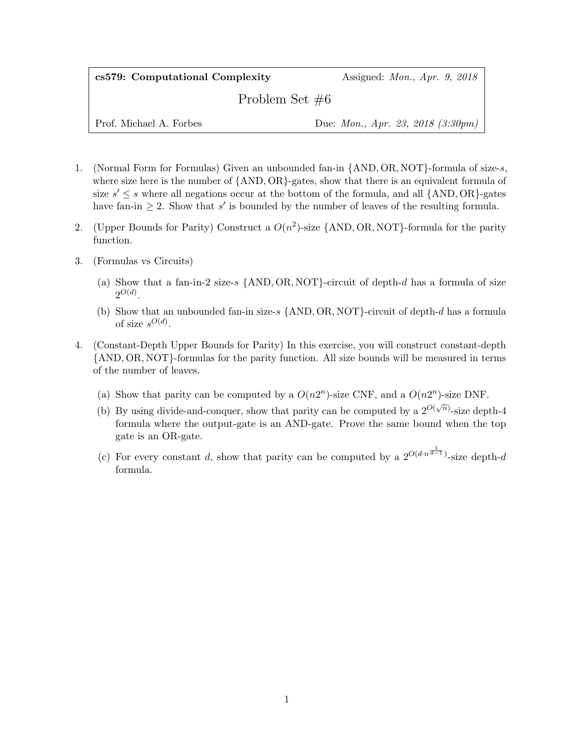## cs579: Computational Complexity Assigned: Mon., Apr. 9, 2018

Problem Set #6

Prof. Michael A. Forbes Due: *Mon., Apr. 23, 2018 (3:30pm)* 

- 1. (Normal Form for Formulas) Given an unbounded fan-in {AND, OR, NOT}-formula of size-s, where size here is the number of  $\{AND, OR\}$ -gates, show that there is an equivalent formula of size  $s' \leq s$  where all negations occur at the bottom of the formula, and all  $\{AND, OR\}$ -gates have fan-in  $\geq 2$ . Show that s' is bounded by the number of leaves of the resulting formula.
- 2. (Upper Bounds for Parity) Construct a  $O(n^2)$ -size {AND, OR, NOT}-formula for the parity function.
- 3. (Formulas vs Circuits)
	- (a) Show that a fan-in-2 size-s  $\{\text{AND}, \text{OR}, \text{NOT}\}$ -circuit of depth-d has a formula of size  $2^{O(d)}$ .
	- (b) Show that an unbounded fan-in size-s  $\{AND, OR, NOT\}$ -circuit of depth-d has a formula of size  $s^{O(d)}$ .
- 4. (Constant-Depth Upper Bounds for Parity) In this exercise, you will construct constant-depth {AND, OR, NOT}-formulas for the parity function. All size bounds will be measured in terms of the number of leaves.
	- (a) Show that parity can be computed by a  $O(n2^n)$ -size CNF, and a  $O(n2^n)$ -size DNF.
	- (b) By using divide-and-conquer, show that parity can be computed by a  $2^{O(\sqrt{n})}$ -size depth-4 formula where the output-gate is an AND-gate. Prove the same bound when the top gate is an OR-gate.
	- (c) For every constant d, show that parity can be computed by a  $2^{O(d \cdot n^{\frac{1}{d-1}})}$ -size depth-d formula.